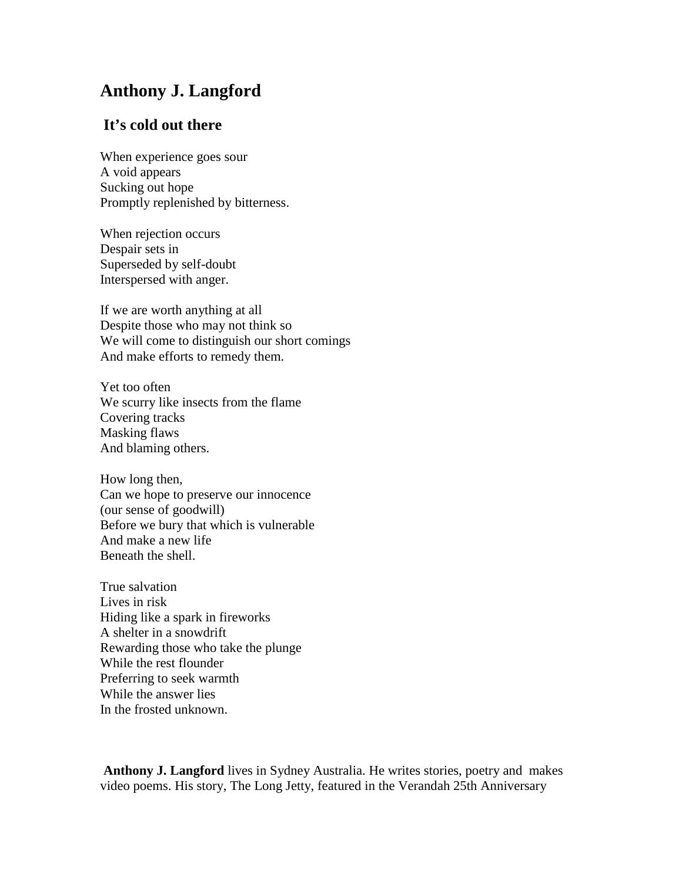## **Anthony J. Langford**

## **It's cold out there**

When experience goes sour A void appears Sucking out hope Promptly replenished by bitterness.

When rejection occurs Despair sets in Superseded by self-doubt Interspersed with anger.

If we are worth anything at all Despite those who may not think so We will come to distinguish our short comings And make efforts to remedy them.

Yet too often We scurry like insects from the flame Covering tracks Masking flaws And blaming others.

How long then, Can we hope to preserve our innocence (our sense of goodwill) Before we bury that which is vulnerable And make a new life Beneath the shell.

True salvation Lives in risk Hiding like a spark in fireworks A shelter in a snowdrift Rewarding those who take the plunge While the rest flounder Preferring to seek warmth While the answer lies In the frosted unknown.

**Anthony J. Langford** lives in Sydney Australia. He writes stories, poetry and makes video poems. His story, The Long Jetty, featured in the Verandah 25th Anniversary